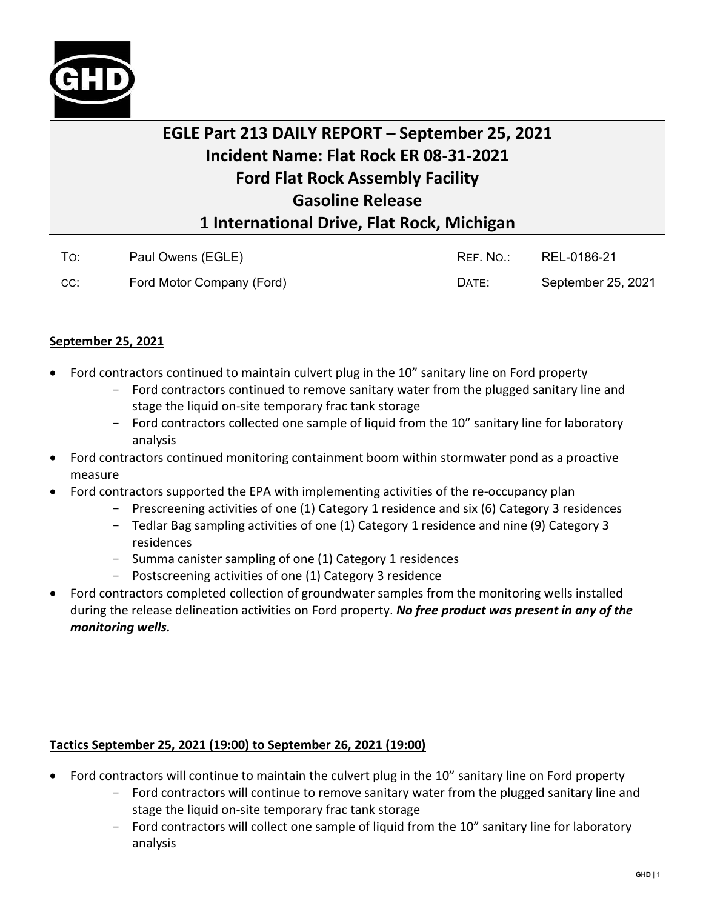

## **EGLE Part 213 DAILY REPORT – September 25, 2021 Incident Name: Flat Rock ER 08-31-2021 Ford Flat Rock Assembly Facility Gasoline Release 1 International Drive, Flat Rock, Michigan**

| To: | Paul Owens (EGLE)         | REF. NO.: | REL-0186-21        |
|-----|---------------------------|-----------|--------------------|
| CC: | Ford Motor Company (Ford) | DATE:     | September 25, 2021 |

## **September 25, 2021**

- Ford contractors continued to maintain culvert plug in the 10" sanitary line on Ford property
	- Ford contractors continued to remove sanitary water from the plugged sanitary line and stage the liquid on-site temporary frac tank storage
	- Ford contractors collected one sample of liquid from the 10" sanitary line for laboratory analysis
- Ford contractors continued monitoring containment boom within stormwater pond as a proactive measure
- Ford contractors supported the EPA with implementing activities of the re-occupancy plan
	- Prescreening activities of one (1) Category 1 residence and six (6) Category 3 residences
	- Tedlar Bag sampling activities of one (1) Category 1 residence and nine (9) Category 3 residences
	- Summa canister sampling of one (1) Category 1 residences
	- Postscreening activities of one (1) Category 3 residence
- Ford contractors completed collection of groundwater samples from the monitoring wells installed during the release delineation activities on Ford property. *No free product was present in any of the monitoring wells.*

## **Tactics September 25, 2021 (19:00) to September 26, 2021 (19:00)**

- Ford contractors will continue to maintain the culvert plug in the 10" sanitary line on Ford property
	- Ford contractors will continue to remove sanitary water from the plugged sanitary line and stage the liquid on-site temporary frac tank storage
	- Ford contractors will collect one sample of liquid from the 10" sanitary line for laboratory analysis